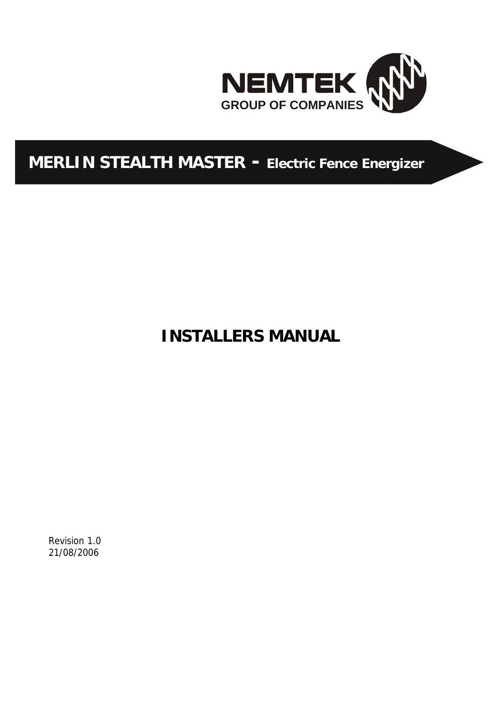

# **MERLIN STEALTH MASTER - Electric Fence Energizer**

**INSTALLERS MANUAL**

Revision 1.0 21/08/2006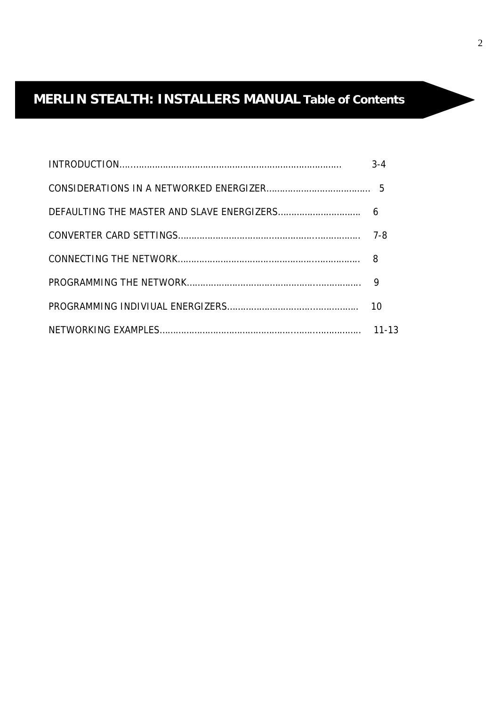# **MERLIN STEALTH: INSTALLERS MANUAL Table of Contents**

| $3 - 4$   |
|-----------|
|           |
|           |
|           |
|           |
|           |
| 10        |
| $11 - 13$ |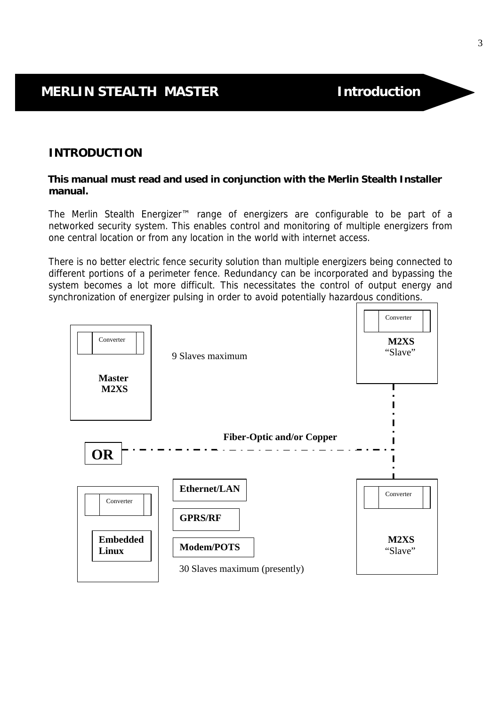### **INTRODUCTION**

### **This manual must read and used in conjunction with the Merlin Stealth Installer manual.**

The Merlin Stealth Energizer™ range of energizers are configurable to be part of a networked security system. This enables control and monitoring of multiple energizers from one central location or from any location in the world with internet access.

There is no better electric fence security solution than multiple energizers being connected to different portions of a perimeter fence. Redundancy can be incorporated and bypassing the system becomes a lot more difficult. This necessitates the control of output energy and synchronization of energizer pulsing in order to avoid potentially hazardous conditions.

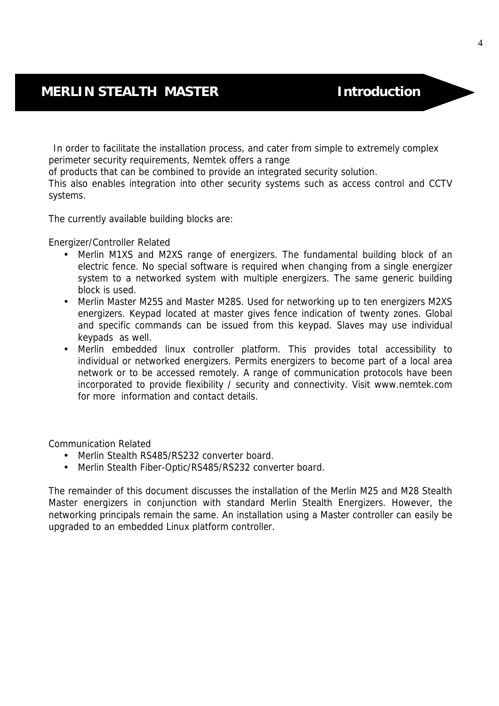In order to facilitate the installation process, and cater from simple to extremely complex perimeter security requirements, Nemtek offers a range

of products that can be combined to provide an integrated security solution.

This also enables integration into other security systems such as access control and CCTV systems.

The currently available building blocks are:

Energizer/Controller Related

- Merlin M1XS and M2XS range of energizers. The fundamental building block of an electric fence. No special software is required when changing from a single energizer system to a networked system with multiple energizers. The same generic building block is used.
- Merlin Master M25S and Master M28S. Used for networking up to ten energizers M2XS energizers. Keypad located at master gives fence indication of twenty zones. Global and specific commands can be issued from this keypad. Slaves may use individual keypads as well.
- Merlin embedded linux controller platform. This provides total accessibility to individual or networked energizers. Permits energizers to become part of a local area network or to be accessed remotely. A range of communication protocols have been incorporated to provide flexibility / security and connectivity. Visit www.nemtek.com for more information and contact details.

Communication Related

- Merlin Stealth RS485/RS232 converter board.
- Merlin Stealth Fiber-Optic/RS485/RS232 converter board.

The remainder of this document discusses the installation of the Merlin M25 and M28 Stealth Master energizers in conjunction with standard Merlin Stealth Energizers. However, the networking principals remain the same. An installation using a Master controller can easily be upgraded to an embedded Linux platform controller.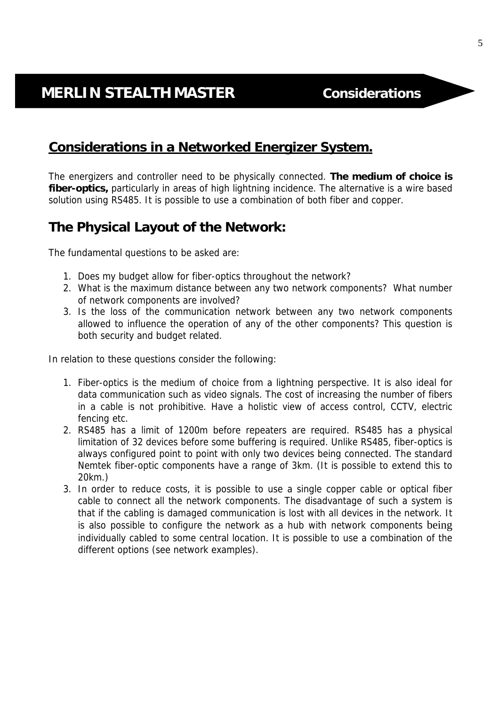## **Considerations in a Networked Energizer System.**

The energizers and controller need to be physically connected. **The medium of choice is fiber-optics,** particularly in areas of high lightning incidence. The alternative is a wire based solution using RS485. It is possible to use a combination of both fiber and copper.

## **The Physical Layout of the Network:**

The fundamental questions to be asked are:

- 1. Does my budget allow for fiber-optics throughout the network?
- 2. What is the maximum distance between any two network components? What number of network components are involved?
- 3. Is the loss of the communication network between any two network components allowed to influence the operation of any of the other components? This question is both security and budget related.

In relation to these questions consider the following:

- 1. Fiber-optics is the medium of choice from a lightning perspective. It is also ideal for data communication such as video signals. The cost of increasing the number of fibers in a cable is not prohibitive. Have a holistic view of access control, CCTV, electric fencing etc.
- 2. RS485 has a limit of 1200m before repeaters are required. RS485 has a physical limitation of 32 devices before some buffering is required. Unlike RS485, fiber-optics is always configured point to point with only two devices being connected. The standard Nemtek fiber-optic components have a range of 3km. (It is possible to extend this to 20km.)
- 3. In order to reduce costs, it is possible to use a single copper cable or optical fiber cable to connect all the network components. The disadvantage of such a system is that if the cabling is damaged communication is lost with all devices in the network. It is also possible to configure the network as a hub with network components being individually cabled to some central location. It is possible to use a combination of the different options (see network examples).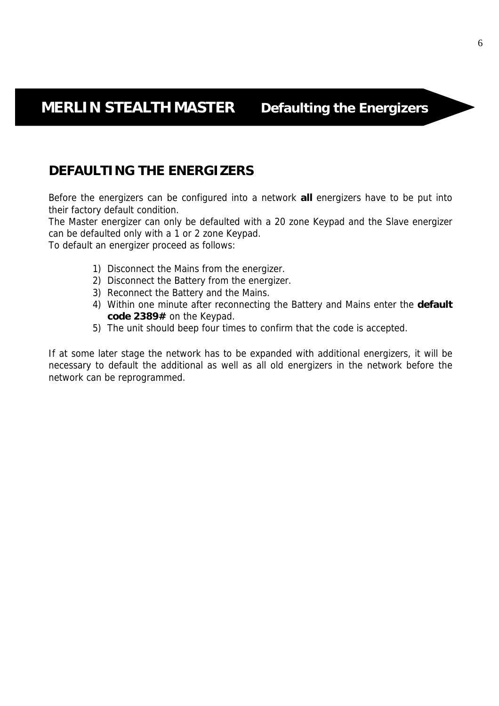## **DEFAULTING THE ENERGIZERS**

Before the energizers can be configured into a network **all** energizers have to be put into their factory default condition.

The Master energizer can only be defaulted with a 20 zone Keypad and the Slave energizer can be defaulted only with a 1 or 2 zone Keypad.

To default an energizer proceed as follows:

- 1) Disconnect the Mains from the energizer.
- 2) Disconnect the Battery from the energizer.
- 3) Reconnect the Battery and the Mains.
- 4) Within one minute after reconnecting the Battery and Mains enter the **default code 2389#** on the Keypad.
- 5) The unit should beep four times to confirm that the code is accepted.

If at some later stage the network has to be expanded with additional energizers, it will be necessary to default the additional as well as all old energizers in the network before the network can be reprogrammed.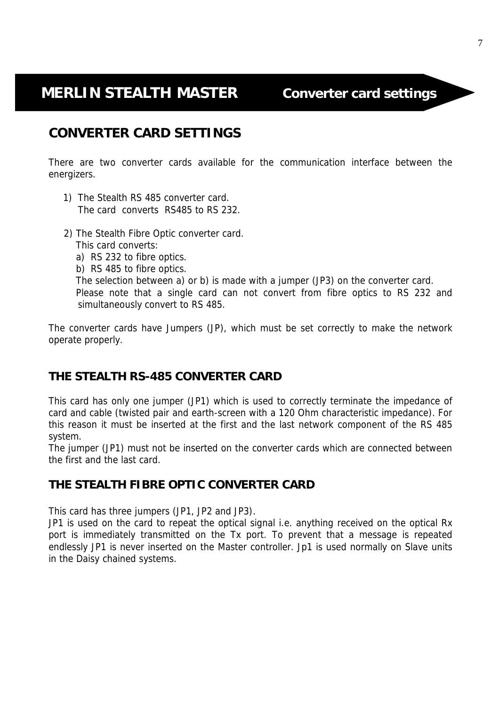# **MERLIN STEALTH MASTER Converter card settings**

## **CONVERTER CARD SETTINGS**

There are two converter cards available for the communication interface between the energizers.

- 1) The Stealth RS 485 converter card. The card converts RS485 to RS 232.
- 2) The Stealth Fibre Optic converter card.
	- This card converts:

- a) RS 232 to fibre optics.
- b) RS 485 to fibre optics.

 The selection between a) or b) is made with a jumper (JP3) on the converter card. Please note that a single card can not convert from fibre optics to RS 232 and simultaneously convert to RS 485.

The converter cards have Jumpers (JP), which must be set correctly to make the network operate properly.

## **THE STEALTH RS-485 CONVERTER CARD**

This card has only one jumper (JP1) which is used to correctly terminate the impedance of card and cable (twisted pair and earth-screen with a 120 Ohm characteristic impedance). For this reason it must be inserted at the first and the last network component of the RS 485 system.

The jumper (JP1) must not be inserted on the converter cards which are connected between the first and the last card.

### **THE STEALTH FIBRE OPTIC CONVERTER CARD**

This card has three jumpers (JP1, JP2 and JP3).

JP1 is used on the card to repeat the optical signal i.e. anything received on the optical Rx port is immediately transmitted on the Tx port. To prevent that a message is repeated endlessly JP1 is never inserted on the Master controller. Jp1 is used normally on Slave units in the Daisy chained systems.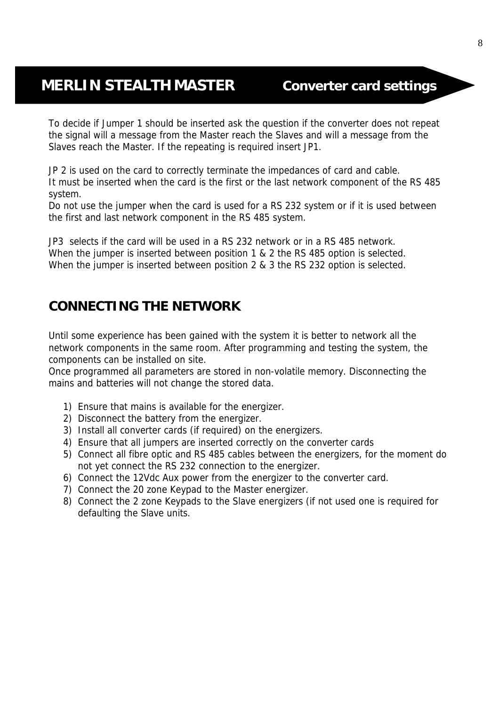## **MERLIN STEALTH MASTER Converter card settings**

To decide if Jumper 1 should be inserted ask the question if the converter does not repeat the signal will a message from the Master reach the Slaves and will a message from the Slaves reach the Master. If the repeating is required insert JP1.

JP 2 is used on the card to correctly terminate the impedances of card and cable. It must be inserted when the card is the first or the last network component of the RS 485 system.

Do not use the jumper when the card is used for a RS 232 system or if it is used between the first and last network component in the RS 485 system.

JP3 selects if the card will be used in a RS 232 network or in a RS 485 network. When the jumper is inserted between position 1 & 2 the RS 485 option is selected. When the jumper is inserted between position 2 & 3 the RS 232 option is selected.

## **CONNECTING THE NETWORK**

Until some experience has been gained with the system it is better to network all the network components in the same room. After programming and testing the system, the components can be installed on site.

Once programmed all parameters are stored in non-volatile memory. Disconnecting the mains and batteries will not change the stored data.

- 1) Ensure that mains is available for the energizer.
- 2) Disconnect the battery from the energizer.
- 3) Install all converter cards (if required) on the energizers.
- 4) Ensure that all jumpers are inserted correctly on the converter cards
- 5) Connect all fibre optic and RS 485 cables between the energizers, for the moment do not yet connect the RS 232 connection to the energizer.
- 6) Connect the 12Vdc Aux power from the energizer to the converter card.
- 7) Connect the 20 zone Keypad to the Master energizer.
- 8) Connect the 2 zone Keypads to the Slave energizers (if not used one is required for defaulting the Slave units.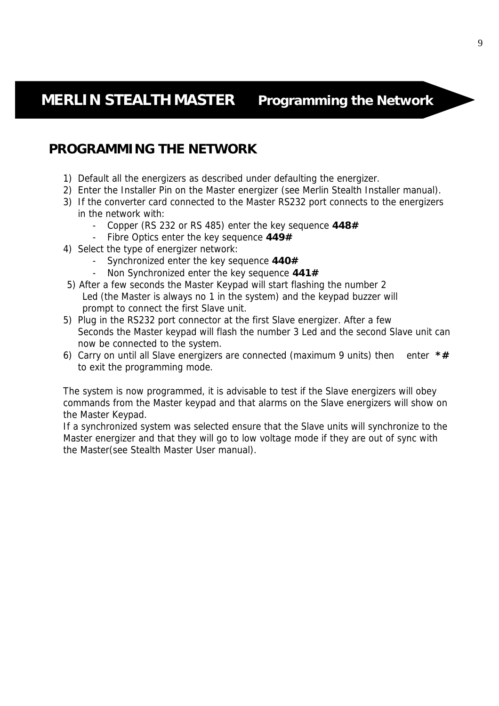## **PROGRAMMING THE NETWORK**

- 1) Default all the energizers as described under defaulting the energizer.
- 2) Enter the Installer Pin on the Master energizer (see Merlin Stealth Installer manual).
- 3) If the converter card connected to the Master RS232 port connects to the energizers in the network with:
	- Copper (RS 232 or RS 485) enter the key sequence **448#**
	- Fibre Optics enter the key sequence **449#**
- 4) Select the type of energizer network:
	- Synchronized enter the key sequence **440#**
	- Non Synchronized enter the key sequence **441#**
- 5) After a few seconds the Master Keypad will start flashing the number 2 Led (the Master is always no 1 in the system) and the keypad buzzer will prompt to connect the first Slave unit.
- 5) Plug in the RS232 port connector at the first Slave energizer. After a few Seconds the Master keypad will flash the number 3 Led and the second Slave unit can now be connected to the system.
- 6) Carry on until all Slave energizers are connected (maximum 9 units) then enter **\*#** to exit the programming mode.

The system is now programmed, it is advisable to test if the Slave energizers will obey commands from the Master keypad and that alarms on the Slave energizers will show on the Master Keypad.

If a synchronized system was selected ensure that the Slave units will synchronize to the Master energizer and that they will go to low voltage mode if they are out of sync with the Master(see Stealth Master User manual).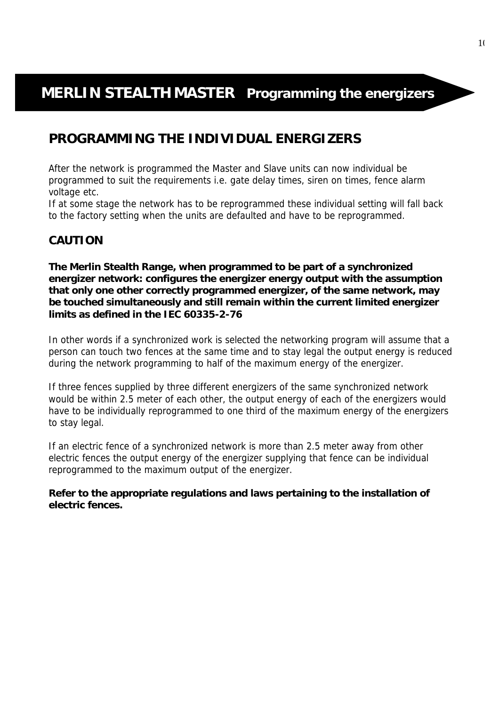# **MERLIN STEALTH MASTER Programming the energizers**

## **PROGRAMMING THE INDIVIDUAL ENERGIZERS**

After the network is programmed the Master and Slave units can now individual be programmed to suit the requirements i.e. gate delay times, siren on times, fence alarm voltage etc.

If at some stage the network has to be reprogrammed these individual setting will fall back to the factory setting when the units are defaulted and have to be reprogrammed.

### **CAUTION**

**The Merlin Stealth Range, when programmed to be part of a synchronized energizer network: configures the energizer energy output with the assumption that only one other correctly programmed energizer, of the same network, may be touched simultaneously and still remain within the current limited energizer limits as defined in the IEC 60335-2-76**

In other words if a synchronized work is selected the networking program will assume that a person can touch two fences at the same time and to stay legal the output energy is reduced during the network programming to half of the maximum energy of the energizer.

If three fences supplied by three different energizers of the same synchronized network would be within 2.5 meter of each other, the output energy of each of the energizers would have to be individually reprogrammed to one third of the maximum energy of the energizers to stay legal.

If an electric fence of a synchronized network is more than 2.5 meter away from other electric fences the output energy of the energizer supplying that fence can be individual reprogrammed to the maximum output of the energizer.

**Refer to the appropriate regulations and laws pertaining to the installation of electric fences.**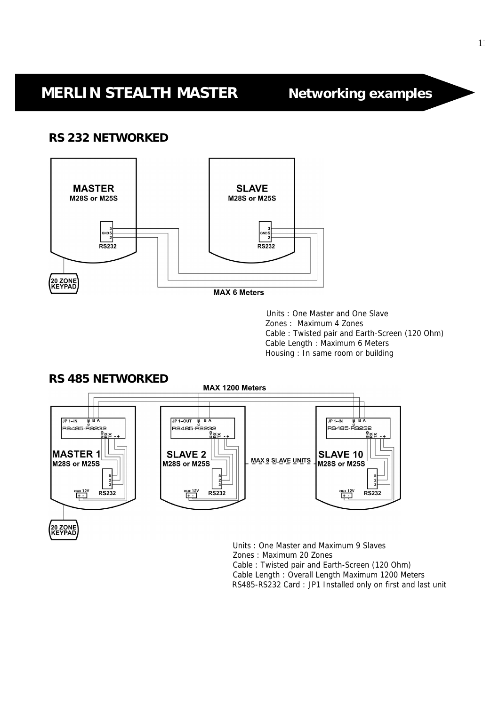### **RS 232 NETWORKED**



**MAX 6 Meters** 

Units : One Master and One Slave Zones : Maximum 4 Zones Cable : Twisted pair and Earth-Screen (120 Ohm) Cable Length : Maximum 6 Meters Housing : In same room or building



Units : One Master and Maximum 9 Slaves Zones : Maximum 20 Zones Cable : Twisted pair and Earth-Screen (120 Ohm) Cable Length : Overall Length Maximum 1200 Meters RS485-RS232 Card : JP1 Installed only on first and last unit

### **RS 485 NETWORKED**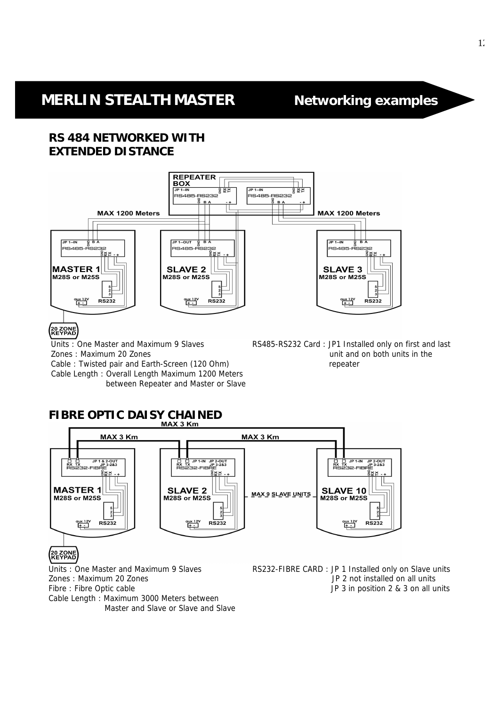# **MERLIN STEALTH MASTER Networking examples**

## **RS 484 NETWORKED WITH EXTENDED DISTANCE**



### 20 ZONE

Zones : Maximum 20 Zones<br>
Cable : Twisted pair and Farth-Screen (120 Ohm)<br>
Cable : Twisted pair and Farth-Screen (120 Ohm) Cable : Twisted pair and Earth-Screen (120 Ohm) Cable Length : Overall Length Maximum 1200 Meters between Repeater and Master or Slave

Units : One Master and Maximum 9 Slaves RS485-RS232 Card : JP1 Installed only on first and last

# **FIBRE OPTIC DAISY CHAINED**



## 20 ZONE<br>KEYPAD

Cable Length : Maximum 3000 Meters between Master and Slave or Slave and Slave

Units : One Master and Maximum 9 Slaves **RS232-FIBRE CARD** : JP 1 Installed only on Slave units Zones : Maximum 20 Zones JP 2 not installed on all units Fibre : Fibre Optic cable  $\Box$  and  $\Box$  and  $\Box$  are  $\Box$  and  $\Box$  are  $\Box$  are  $\Box$  and  $\Box$  and  $\Box$  are  $\Box$  and  $\Box$  are  $\Box$  and  $\Box$  are  $\Box$  and  $\Box$  are  $\Box$  and  $\Box$  are  $\Box$  and  $\Box$  are  $\Box$  and  $\Box$  are  $\Box$  an